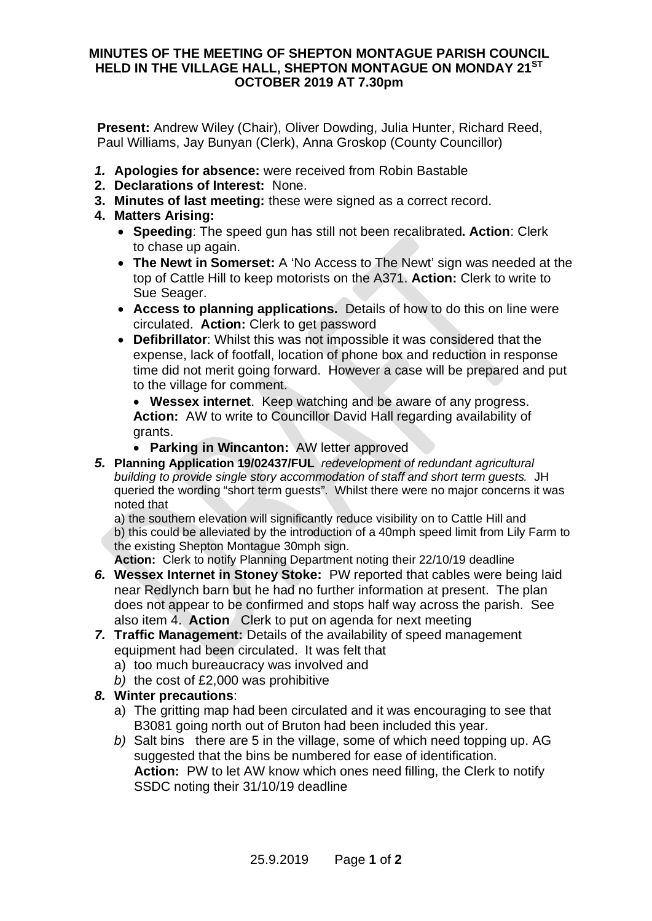## **MINUTES OF THE MEETING OF SHEPTON MONTAGUE PARISH COUNCIL HELD IN THE VILLAGE HALL, SHEPTON MONTAGUE ON MONDAY 21ST OCTOBER 2019 AT 7.30pm**

**Present:** Andrew Wiley (Chair), Oliver Dowding, Julia Hunter, Richard Reed, Paul Williams, Jay Bunyan (Clerk), Anna Groskop (County Councillor)

- *1.* **Apologies for absence:** were received from Robin Bastable
- **2. Declarations of Interest:** None.
- **3. Minutes of last meeting:** these were signed as a correct record.
- **4. Matters Arising:**
	- · **Speeding**: The speed gun has still not been recalibrated**. Action**: Clerk to chase up again.
	- · **The Newt in Somerset:** A 'No Access to The Newt' sign was needed at the top of Cattle Hill to keep motorists on the A371. **Action:** Clerk to write to Sue Seager.
	- · **Access to planning applications.** Details of how to do this on line were circulated. **Action:** Clerk to get password
	- · **Defibrillator**: Whilst this was not impossible it was considered that the expense, lack of footfall, location of phone box and reduction in response time did not merit going forward. However a case will be prepared and put to the village for comment.

· **Wessex internet**. Keep watching and be aware of any progress. **Action:** AW to write to Councillor David Hall regarding availability of grants.

- · **Parking in Wincanton:** AW letter approved
- *5.* **Planning Application 19/02437/FUL** *redevelopment of redundant agricultural building to provide single story accommodation of staff and short term guests.* JH queried the wording "short term guests". Whilst there were no major concerns it was noted that

a) the southern elevation will significantly reduce visibility on to Cattle Hill and b) this could be alleviated by the introduction of a 40mph speed limit from Lily Farm to the existing Shepton Montague 30mph sign.

**Action:** Clerk to notify Planning Department noting their 22/10/19 deadline

- *6.* **Wessex Internet in Stoney Stoke:** PW reported that cables were being laid near Redlynch barn but he had no further information at present. The plan does not appear to be confirmed and stops half way across the parish. See also item 4. **Action** Clerk to put on agenda for next meeting
- *7.* **Traffic Management:** Details of the availability of speed management equipment had been circulated. It was felt that
	- a) too much bureaucracy was involved and
	- *b)* the cost of £2,000 was prohibitive

## *8.* **Winter precautions**:

- a) The gritting map had been circulated and it was encouraging to see that B3081 going north out of Bruton had been included this year.
- *b)* Salt bins there are 5 in the village, some of which need topping up. AG suggested that the bins be numbered for ease of identification. **Action:** PW to let AW know which ones need filling, the Clerk to notify SSDC noting their 31/10/19 deadline